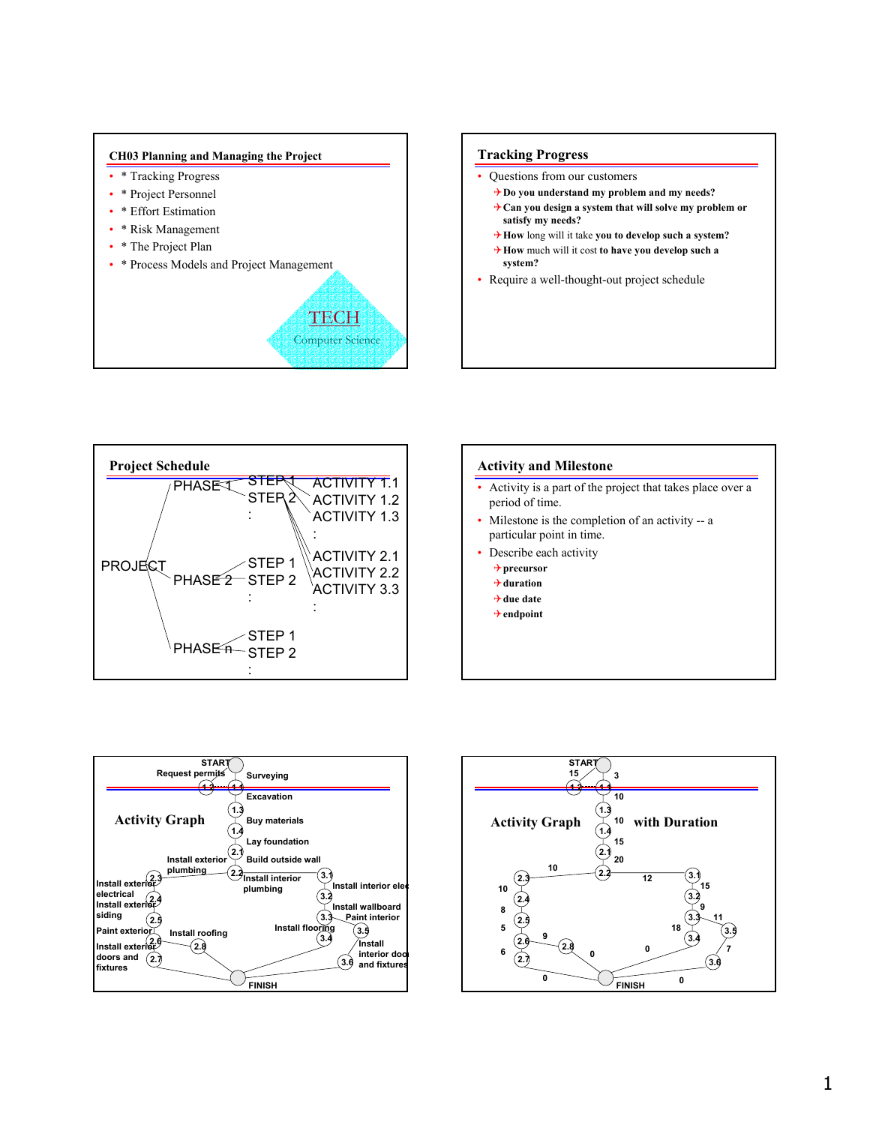

# **Tracking Progress**

- Questions from our customers
	- 4**Do you understand my problem and my needs?**
	- 4**Can you design a system that will solve my problem or satisfy my needs?**
	- 4**How** long will it take **you to develop such a system?**
	- 4**How** much will it cost **to have you develop such a system?**
- Require a well-thought-out project schedule



# **Activity and Milestone** • Activity is a part of the project that takes place over a period of time. • Milestone is the completion of an activity -- a particular point in time. Describe each activity 4**precursor** 4**duration** 4**due date** 4**endpoint**



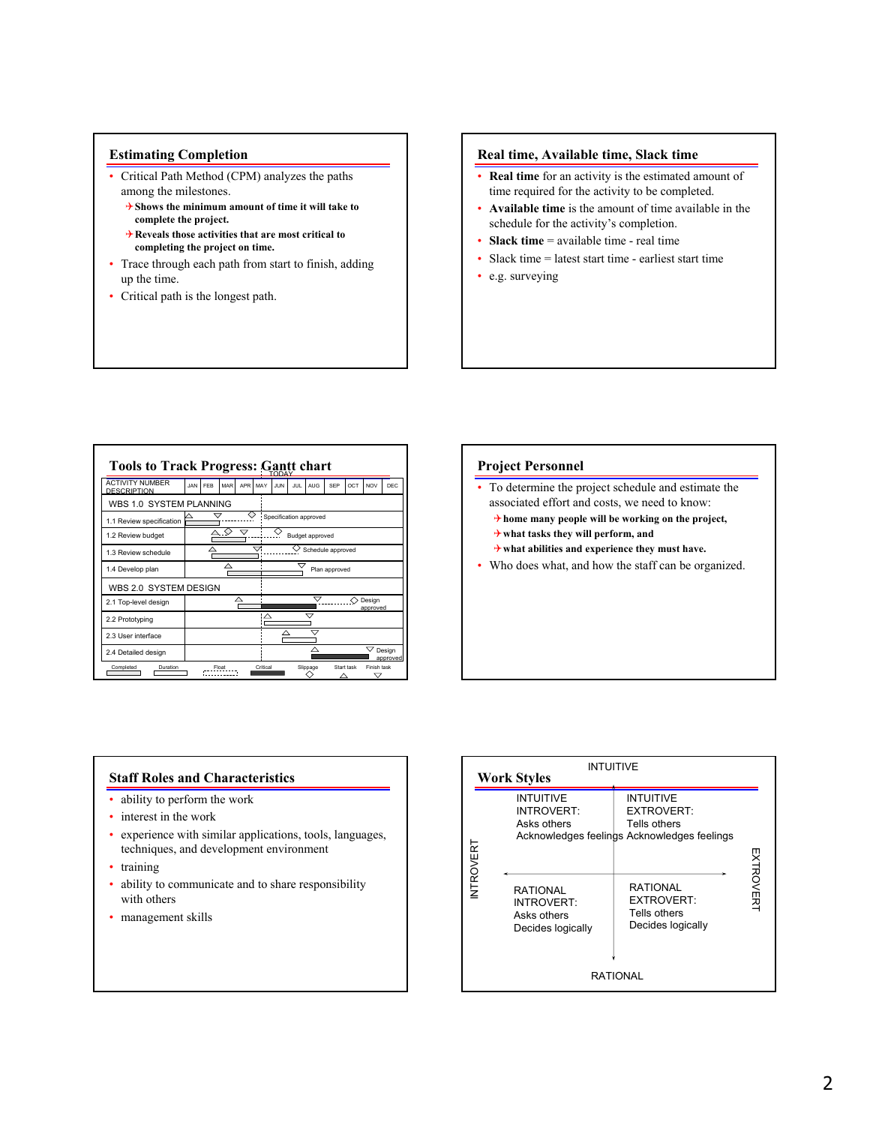# **Estimating Completion**

- Critical Path Method (CPM) analyzes the paths among the milestones.
	- 4**Shows the minimum amount of time it will take to complete the project.**
	- 4**Reveals those activities that are most critical to completing the project on time.**
- Trace through each path from start to finish, adding up the time.
- Critical path is the longest path.

# **Real time, Available time, Slack time**

- **Real time** for an activity is the estimated amount of time required for the activity to be completed.
- **Available time** is the amount of time available in the schedule for the activity's completion.
- **Slack time** = available time real time
- Slack time = latest start time earliest start time
- e.g. surveying

| <b>Tools to Track Progress: Gantt chart</b>  |                        |     |       |      |          |                         |     |            |            |            |                  |                    |  |
|----------------------------------------------|------------------------|-----|-------|------|----------|-------------------------|-----|------------|------------|------------|------------------|--------------------|--|
| <b>ACTIVITY NUMBER</b><br><b>DESCRIPTION</b> | <b>JAN</b>             | FFR | MAR   | APR. | MAY      | JUN                     | HH. | <b>AUG</b> | <b>SFP</b> | OCT        | <b>NOV</b>       | DEC                |  |
| WBS 1.0 SYSTEM PLANNING                      |                        |     |       |      |          |                         |     |            |            |            |                  |                    |  |
| 1.1 Review specification                     | Specification approved |     |       |      |          |                         |     |            |            |            |                  |                    |  |
| 1.2 Review budget                            | Budget approved        |     |       |      |          |                         |     |            |            |            |                  |                    |  |
| 1.3 Review schedule                          |                        |     |       |      |          | Schedule approved       |     |            |            |            |                  |                    |  |
| 1.4 Develop plan                             | △                      |     |       |      |          | Plan approved           |     |            |            |            |                  |                    |  |
| WBS 2.0 SYSTEM DESIGN                        |                        |     |       |      |          |                         |     |            |            |            |                  |                    |  |
| 2.1 Top-level design                         | Δ                      |     |       |      |          | ⇁<br>Design<br>approved |     |            |            |            |                  |                    |  |
| 2.2 Prototyping                              |                        |     |       |      | Δ        |                         |     |            |            |            |                  |                    |  |
| 2.3 Liser interface                          |                        |     |       |      |          |                         |     | ⇁          |            |            |                  |                    |  |
| 2.4 Detailed design                          |                        |     |       |      |          |                         |     |            |            |            |                  | Design<br>approved |  |
| Completed<br>Duration                        |                        |     | Float |      | Critical |                         |     | Slippage   |            | Start task | Finish task<br>▽ |                    |  |



# **Staff Roles and Characteristics**

- ability to perform the work
- interest in the work
- experience with similar applications, tools, languages, techniques, and development environment
- training
- ability to communicate and to share responsibility with others
- management skills

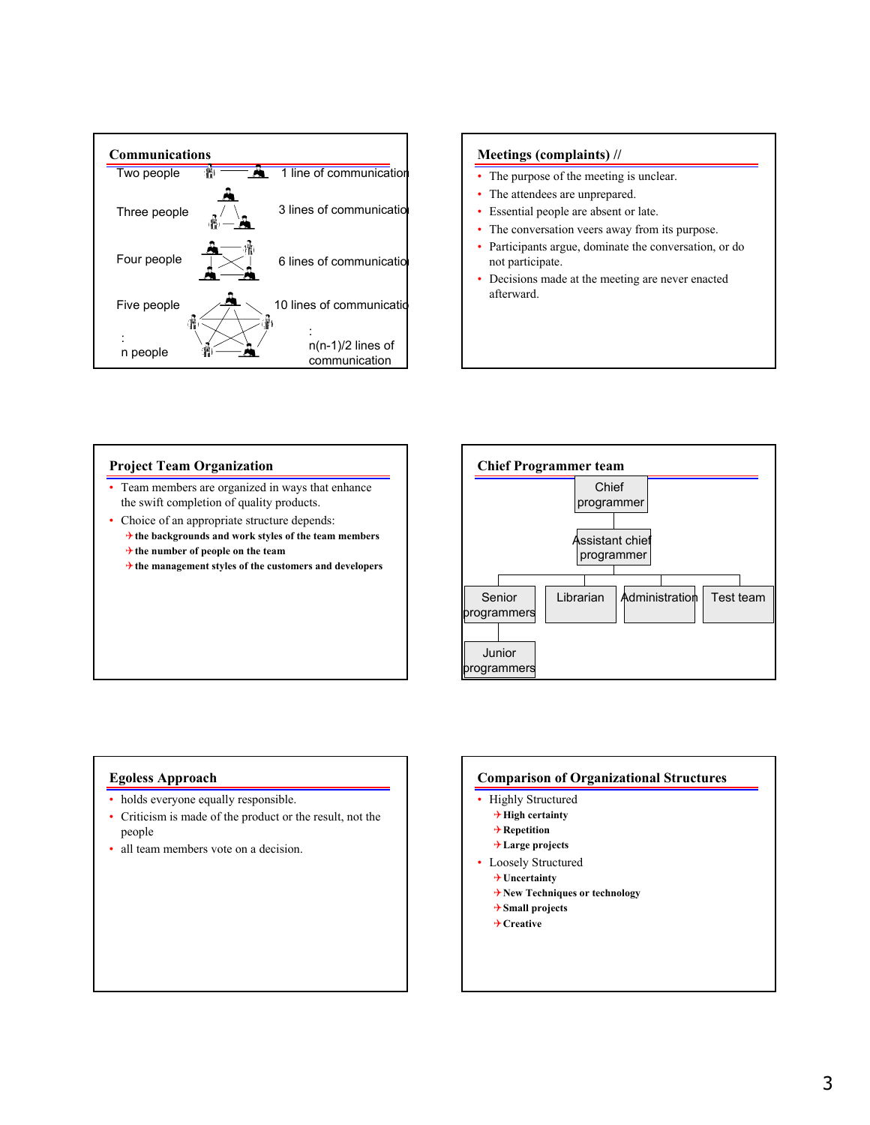

# **Meetings (complaints) //**

- The purpose of the meeting is unclear.
- The attendees are unprepared.
- Essential people are absent or late.
- The conversation veers away from its purpose.
- Participants argue, dominate the conversation, or do not participate.
- Decisions made at the meeting are never enacted afterward.

# **Project Team Organization**

- Team members are organized in ways that enhance the swift completion of quality products.
- Choice of an appropriate structure depends: 4**the backgrounds and work styles of the team members** 4**the number of people on the team**
	- 4**the management styles of the customers and developers**



# **Egoless Approach**

- holds everyone equally responsible.
- Criticism is made of the product or the result, not the people
- all team members vote on a decision.

# **Comparison of Organizational Structures**

- Highly Structured
	- 4**High certainty**
	- 4**Repetition**
	- 4**Large projects**
- Loosely Structured
	- 4**Uncertainty**
	- 4**New Techniques or technology**
	- 4**Small projects**
	- 4**Creative**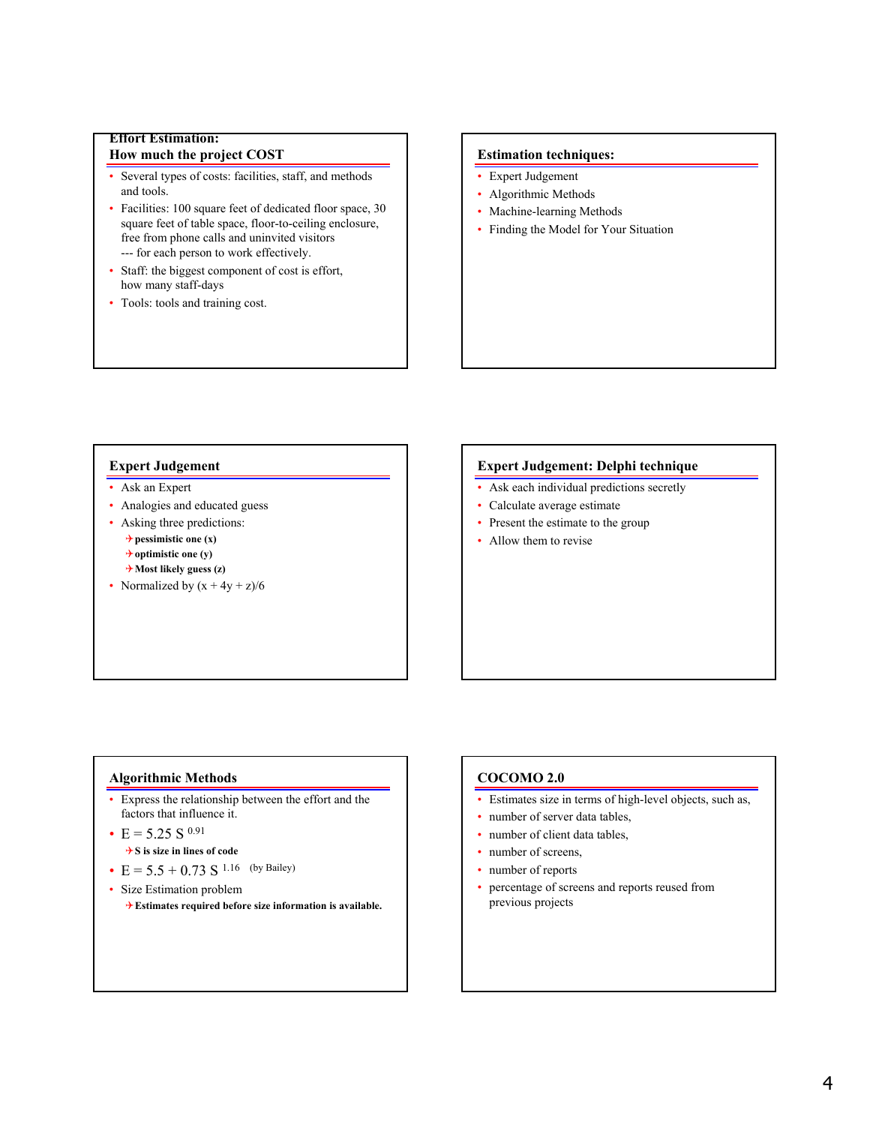# **Effort Estimation: How much the project COST**

- Several types of costs: facilities, staff, and methods and tools.
- Facilities: 100 square feet of dedicated floor space, 30 square feet of table space, floor-to-ceiling enclosure, free from phone calls and uninvited visitors --- for each person to work effectively.
- Staff: the biggest component of cost is effort, how many staff-days
- Tools: tools and training cost.

# **Estimation techniques:**

- Expert Judgement
- Algorithmic Methods
- Machine-learning Methods
- Finding the Model for Your Situation

# **Expert Judgement**

- Ask an Expert
- Analogies and educated guess
- Asking three predictions:  $\rightarrow$  pessimistic one (x) 4**optimistic one (y)** 4**Most likely guess (z)**
- Normalized by  $(x + 4y + z)/6$

# **Expert Judgement: Delphi technique**

- Ask each individual predictions secretly
- Calculate average estimate
- Present the estimate to the group
- Allow them to revise

# **Algorithmic Methods**

- Express the relationship between the effort and the factors that influence it.
- $E = 5.25 S^{0.91}$ 4**S is size in lines of code**
- $E = 5.5 + 0.73 S$ <sup>1.16</sup> (by Bailey)
- Size Estimation problem 4**Estimates required before size information is available.**

# **COCOMO 2.0**

- Estimates size in terms of high-level objects, such as,
- number of server data tables,
- number of client data tables,
- number of screens.
- number of reports
- percentage of screens and reports reused from previous projects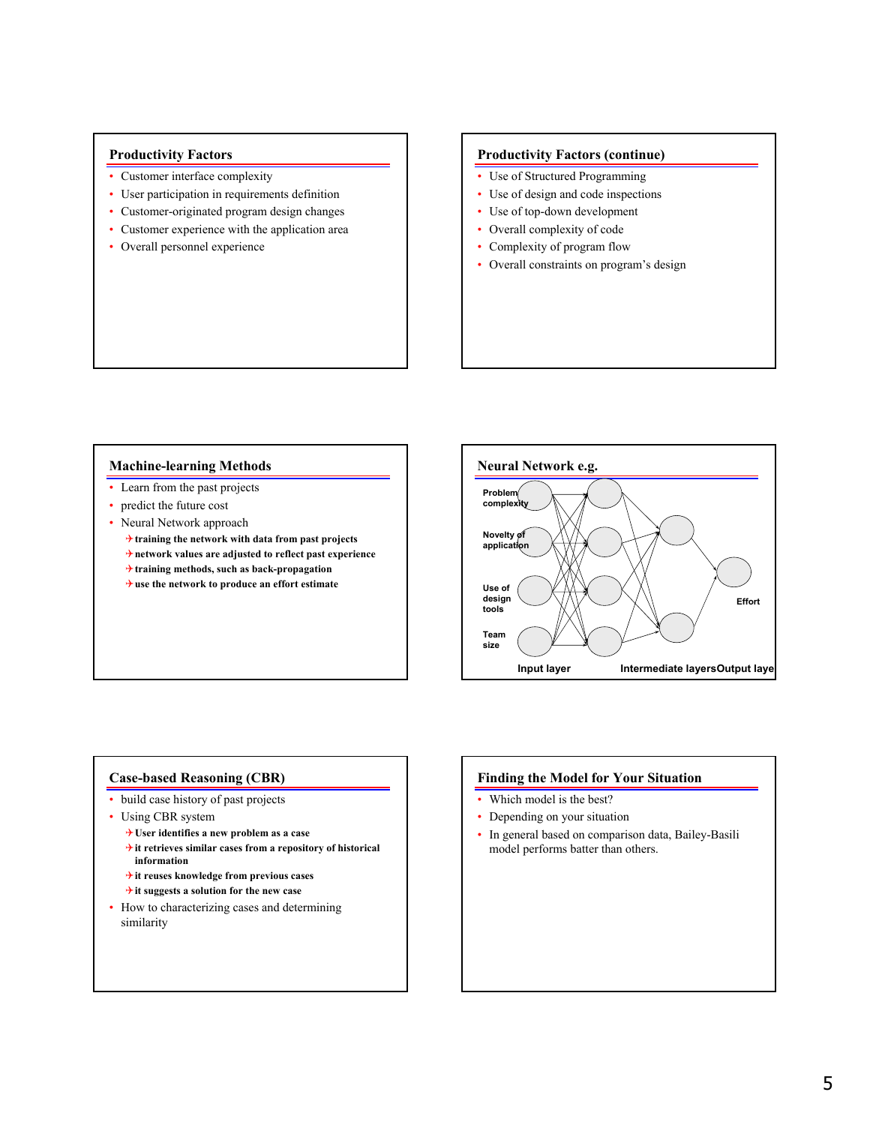# **Productivity Factors**

- Customer interface complexity
- User participation in requirements definition
- Customer-originated program design changes
- Customer experience with the application area
- Overall personnel experience

### **Productivity Factors (continue)**

- Use of Structured Programming
- Use of design and code inspections
- Use of top-down development
- Overall complexity of code
- Complexity of program flow
- Overall constraints on program's design

# **Machine-learning Methods**

- Learn from the past projects
- predict the future cost
- Neural Network approach
	- 4**training the network with data from past projects** 4**network values are adjusted to reflect past experience**
	- 4**training methods, such as back-propagation**
	- 4**use the network to produce an effort estimate**



### **Case-based Reasoning (CBR)**

- build case history of past projects
- Using CBR system
	- 4**User identifies a new problem as a case**
	- 4**it retrieves similar cases from a repository of historical information**
	- 4**it reuses knowledge from previous cases**
	- 4**it suggests a solution for the new case**
- How to characterizing cases and determining similarity

# **Finding the Model for Your Situation**

- Which model is the best?
- Depending on your situation
- In general based on comparison data, Bailey-Basili model performs batter than others.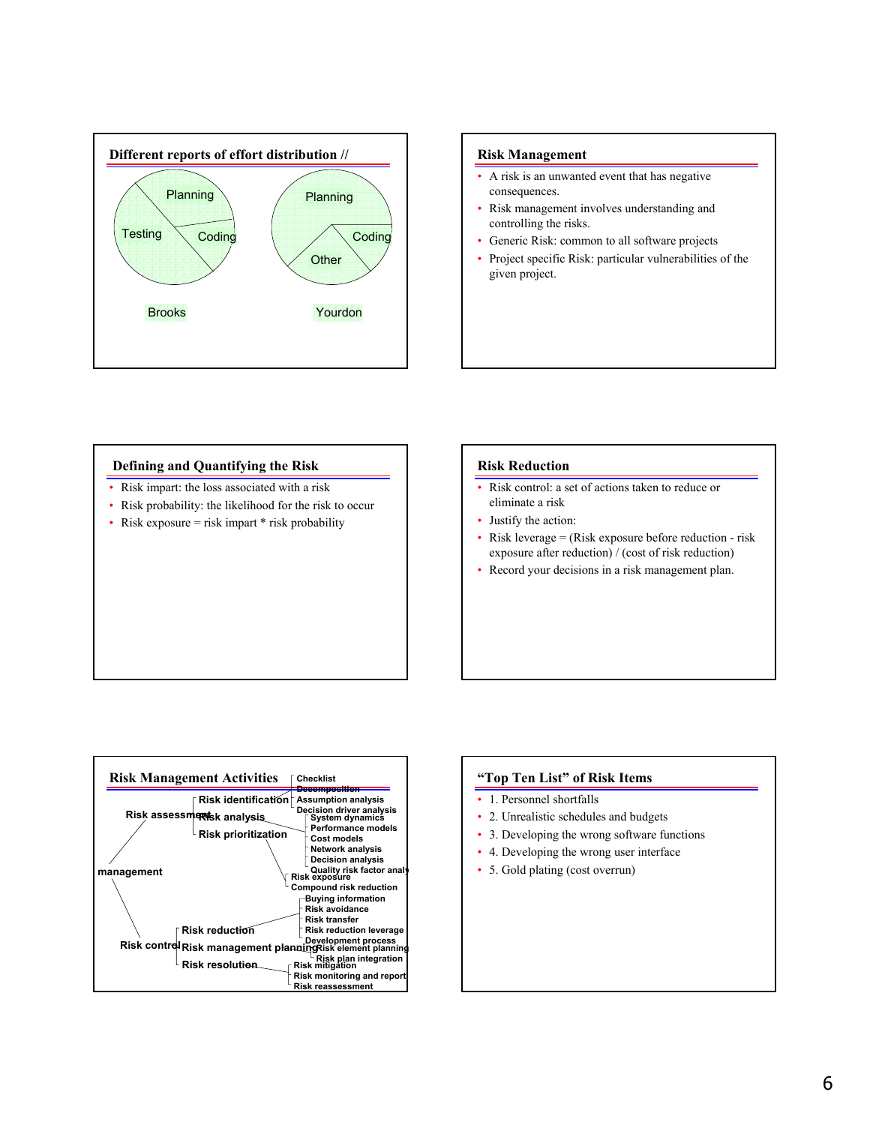

# **Risk Management**

- A risk is an unwanted event that has negative consequences.
- Risk management involves understanding and controlling the risks.
- Generic Risk: common to all software projects
- Project specific Risk: particular vulnerabilities of the given project.

#### **Defining and Quantifying the Risk**

- Risk impart: the loss associated with a risk
- Risk probability: the likelihood for the risk to occur
- Risk exposure  $=$  risk impart  $*$  risk probability

#### **Risk Reduction**

- Risk control: a set of actions taken to reduce or eliminate a risk
- Justify the action:
- Risk leverage = (Risk exposure before reduction risk exposure after reduction) / (cost of risk reduction)
- Record your decisions in a risk management plan.



#### **"Top Ten List" of Risk Items**

- 1. Personnel shortfalls
- 2. Unrealistic schedules and budgets
- 3. Developing the wrong software functions
- 4. Developing the wrong user interface
- 5. Gold plating (cost overrun)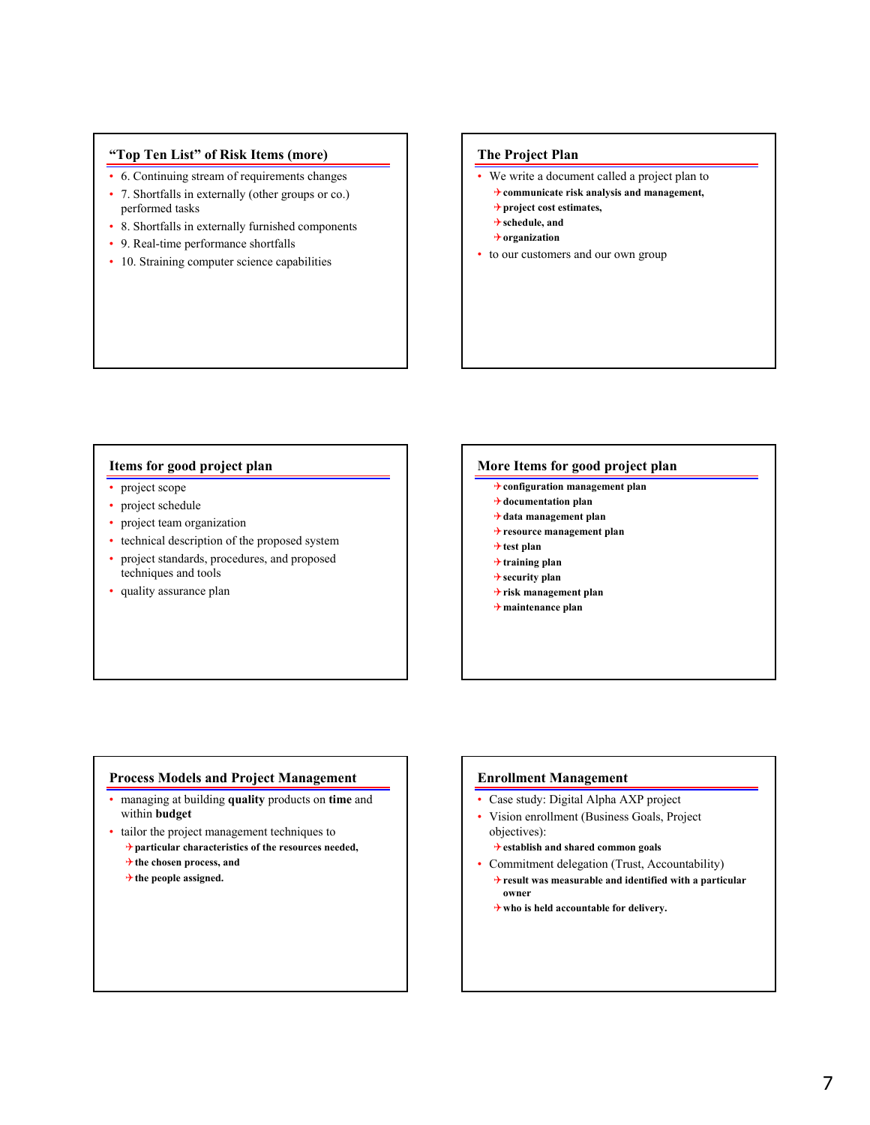# **"Top Ten List" of Risk Items (more)**

- 6. Continuing stream of requirements changes
- 7. Shortfalls in externally (other groups or co.) performed tasks
- 8. Shortfalls in externally furnished components
- 9. Real-time performance shortfalls
- 10. Straining computer science capabilities

# **The Project Plan**

- We write a document called a project plan to
	- 4**communicate risk analysis and management,**
- 4**project cost estimates,**
- 4**schedule, and**
- 4**organization**
- to our customers and our own group

# **Items for good project plan**

- project scope
- project schedule
- project team organization
- technical description of the proposed system
- project standards, procedures, and proposed techniques and tools
- quality assurance plan

#### **More Items for good project plan**

- 4**configuration management plan**
- 4**documentation plan**
- 4**data management plan**
- 4**resource management plan**
- 4**test plan**
- 4**training plan**
- 4**security plan**
- 4**risk management plan**
- 4**maintenance plan**

# **Process Models and Project Management**

- managing at building **quality** products on **time** and within **budget**
- tailor the project management techniques to 4**particular characteristics of the resources needed,** 4**the chosen process, and**
	- 4**the people assigned.**

### **Enrollment Management**

- Case study: Digital Alpha AXP project
- Vision enrollment (Business Goals, Project objectives):
	- 4**establish and shared common goals**
- Commitment delegation (Trust, Accountability) 4**result was measurable and identified with a particular owner** 
	- 4**who is held accountable for delivery.**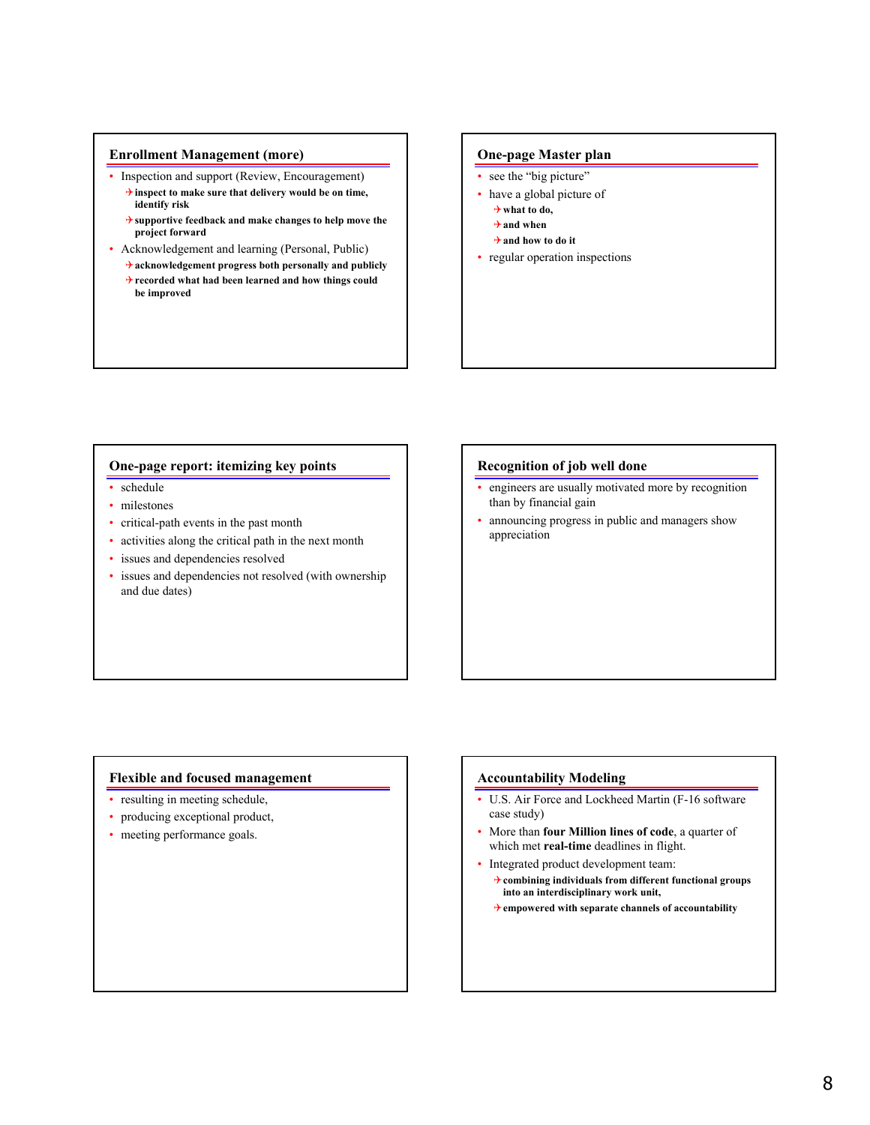### **Enrollment Management (more)**

- Inspection and support (Review, Encouragement)
	- 4**inspect to make sure that delivery would be on time, identify risk**
	- 4**supportive feedback and make changes to help move the project forward**
- Acknowledgement and learning (Personal, Public) 4**acknowledgement progress both personally and publicly**
	- 4**recorded what had been learned and how things could be improved**

### **One-page Master plan**

- see the "big picture"
- have a global picture of 4**what to do,** 
	- 4**and when**
	- 4**and how to do it**
- regular operation inspections

# **One-page report: itemizing key points**

- schedule
- milestones
- critical-path events in the past month
- activities along the critical path in the next month
- issues and dependencies resolved
- issues and dependencies not resolved (with ownership and due dates)

### **Recognition of job well done**

- engineers are usually motivated more by recognition than by financial gain
- announcing progress in public and managers show appreciation

# **Flexible and focused management**

- resulting in meeting schedule,
- producing exceptional product,
- meeting performance goals.

# **Accountability Modeling**

- U.S. Air Force and Lockheed Martin (F-16 software case study)
- More than **four Million lines of code**, a quarter of which met **real-time** deadlines in flight.
- Integrated product development team:
	- 4**combining individuals from different functional groups into an interdisciplinary work unit,**
	- 4**empowered with separate channels of accountability**